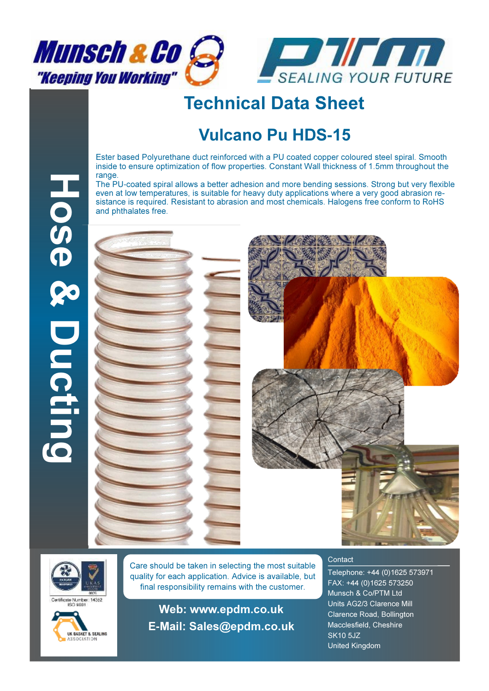



## Technical Data Sheet

## Vulcano Pu HDS**-**15

Ester based Polyurethane duct reinforced with a PU coated copper coloured steel spiral. Smooth inside to ensure optimization of flow properties. Constant Wall thickness of 1.5mm throughout the range.

The PU-coated spiral allows a better adhesion and more bending sessions. Strong but very flexible even at low temperatures, is suitable for heavy duty applications where a very good abrasion resistance is required. Resistant to abrasion and most chemicals. Halogens free conform to RoHS and phthalates free.









Care should be taken in selecting the most suitable quality for each application. Advice is available, but final responsibility remains with the customer.

Web: www.epdm.co.uk E**-**Mail: Sales@epdm.co.uk

## **Contact**

Telephone: +44 (0)1625 573971 FAX: +44 (0)1625 573250 Munsch & Co/PTM Ltd Units AG2/3 Clarence Mill Clarence Road, Bollington Macclesfield, Cheshire SK10 5JZ United Kingdom